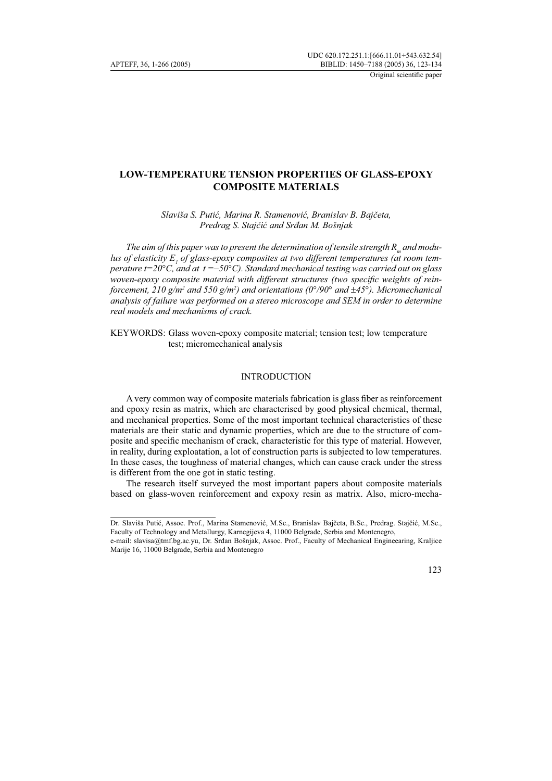# **LOW-TEMPERATURE TENSION PROPERTIES OF GLASS-EPOXY COMPOSITE MATERIALS**

*Slaviša S. Putić, Marina R. Stamenović, Branislav B. Bajčeta, Predrag S. Stajčić and Srđan M. Bošnjak*

The aim of this paper was to present the determination of tensile strength R<sub>m</sub> and modulus of elasticity  $E_{_I}$  of glass-epoxy composites at two different temperatures (at room tem*perature t=20*°*C, and at t =*−*50*°*C). Standard mechanical testing was carried out on glass woven-epoxy composite material with different structures (two specific weights of reinforcement, 210 g/m<sup>2</sup> and 550 g/m<sup>2</sup>) and orientations (0°/90° and ±45°). Micromechanical analysis of failure was performed on a stereo microscope and SEM in order to determine real models and mechanisms of crack.* 

KEYWORDS: Glass woven-epoxy composite material; tension test; low temperature test; micromechanical analysis

## **INTRODUCTION**

A very common way of composite materials fabrication is glass fiber as reinforcement and epoxy resin as matrix, which are characterised by good physical chemical, thermal, and mechanical properties. Some of the most important technical characteristics of these materials are their static and dynamic properties, which are due to the structure of composite and specific mechanism of crack, characteristic for this type of material. However, in reality, during exploatation, a lot of construction parts is subjected to low temperatures. In these cases, the toughness of material changes, which can cause crack under the stress is different from the one got in static testing.

The research itself surveyed the most important papers about composite materials based on glass-woven reinforcement and expoxy resin as matrix. Also, micro-mecha-

e-mail: slavisa@tmf.bg.ac.yu, Dr. Srđan Bošnjak, Assoc. Prof., Faculty of Mechanical Engineearing, Kraljice Marije 16, 11000 Belgrade, Serbia and Montenegro



Dr. Slaviša Putić, Assoc. Prof., Marina Stamenović, M.Sc., Branislav Bajčeta, B.Sc., Predrag. Stajčić, M.Sc., Faculty of Technology and Metallurgy, Karnegijeva 4, 11000 Belgrade, Serbia and Montenegro,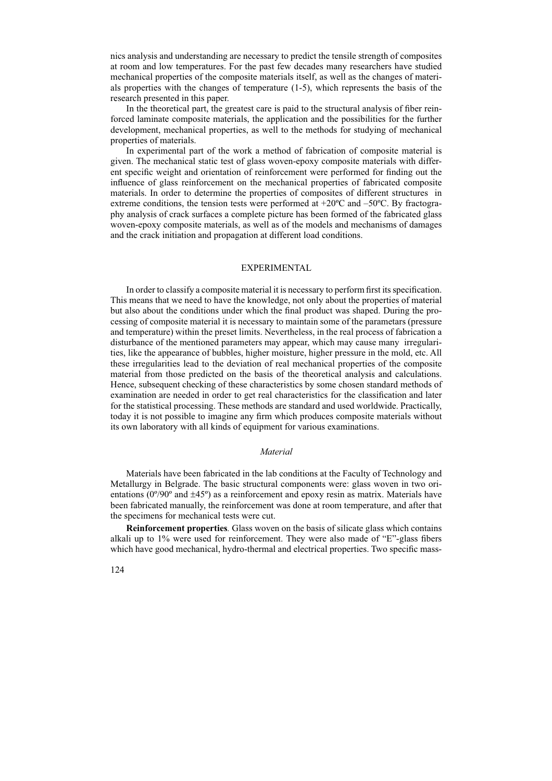nics analysis and understanding are necessary to predict the tensile strength of composites at room and low temperatures. For the past few decades many researchers have studied mechanical properties of the composite materials itself, as well as the changes of materials properties with the changes of temperature (1-5), which represents the basis of the research presented in this paper.

In the theoretical part, the greatest care is paid to the structural analysis of fiber reinforced laminate composite materials, the application and the possibilities for the further development, mechanical properties, as well to the methods for studying of mechanical properties of materials.

In experimental part of the work a method of fabrication of composite material is given. The mechanical static test of glass woven-epoxy composite materials with different specific weight and orientation of reinforcement were performed for finding out the influence of glass reinforcement on the mechanical properties of fabricated composite materials. In order to determine the properties of composites of different structures in extreme conditions, the tension tests were performed at  $+20^{\circ}$ C and  $-50^{\circ}$ C. By fractography analysis of crack surfaces a complete picture has been formed of the fabricated glass woven-epoxy composite materials, as well as of the models and mechanisms of damages and the crack initiation and propagation at different load conditions.

## EXPERIMENTAL

In order to classify a composite material it is necessary to perform first its specification. This means that we need to have the knowledge, not only about the properties of material but also about the conditions under which the final product was shaped. During the processing of composite material it is necessary to maintain some of the parametars (pressure and temperature) within the preset limits. Nevertheless, in the real process of fabrication a disturbance of the mentioned parameters may appear, which may cause many irregularities, like the appearance of bubbles, higher moisture, higher pressure in the mold, etc. All these irregularities lead to the deviation of real mechanical properties of the composite material from those predicted on the basis of the theoretical analysis and calculations. Hence, subsequent checking of these characteristics by some chosen standard methods of examination are needed in order to get real characteristics for the classification and later for the statistical processing. These methods are standard and used worldwide. Practically, today it is not possible to imagine any firm which produces composite materials without its own laboratory with all kinds of equipment for various examinations.

#### *Material*

Materials have been fabricated in the lab conditions at the Faculty of Technology and Metallurgy in Belgrade. The basic structural components were: glass woven in two orientations ( $0^{\circ}/90^{\circ}$  and  $\pm 45^{\circ}$ ) as a reinforcement and epoxy resin as matrix. Materials have been fabricated manually, the reinforcement was done at room temperature, and after that the specimens for mechanical tests were cut.

**Reinforcement properties***.* Glass woven on the basis of silicate glass which contains alkali up to 1% were used for reinforcement. They were also made of "E"-glass fibers which have good mechanical, hydro-thermal and electrical properties. Two specific mass-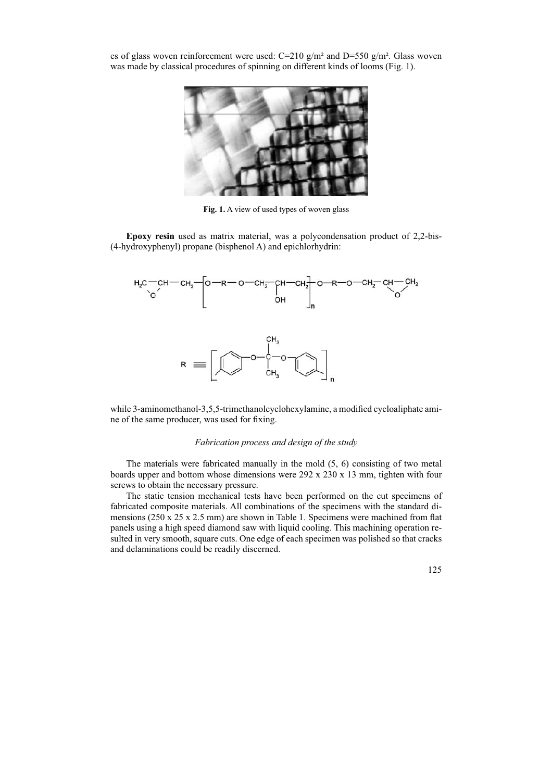es of glass woven reinforcement were used:  $C=210$  g/m<sup>2</sup> and  $D=550$  g/m<sup>2</sup>. Glass woven was made by classical procedures of spinning on different kinds of looms (Fig. 1).



**Fig. 1.** A view of used types of woven glass

**Epoxy resin** used as matrix material, was a polycondensation product of 2,2-bis- (4-hydroxyphenyl) propane (bisphenol A) and epichlorhydrin:



while 3-aminomethanol-3,5,5-trimethanolcyclohexylamine, a modified cycloaliphate amine of the same producer, was used for fixing.

## *Fabrication process and design of the study*

The materials were fabricated manually in the mold (5, 6) consisting of two metal boards upper and bottom whose dimensions were 292 x 230 x 13 mm, tighten with four screws to obtain the necessary pressure.

The static tension mechanical tests have been performed on the cut specimens of fabricated composite materials. All combinations of the specimens with the standard dimensions (250 x 25 x 2.5 mm) are shown in Table 1. Specimens were machined from flat panels using a high speed diamond saw with liquid cooling. This machining operation resulted in very smooth, square cuts. One edge of each specimen was polished so that cracks and delaminations could be readily discerned.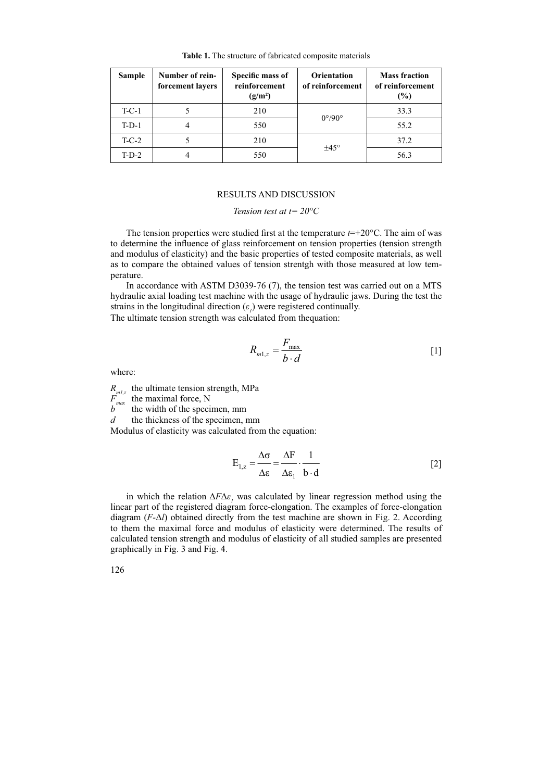| Sample  | Number of rein-<br>forcement layers | Specific mass of<br>reinforcement<br>$(g/m^2)$ | <b>Orientation</b><br>of reinforcement | <b>Mass fraction</b><br>of reinforcement<br>(%) |
|---------|-------------------------------------|------------------------------------------------|----------------------------------------|-------------------------------------------------|
| $T-C-1$ |                                     | 210                                            | $0^{\circ}/90^{\circ}$                 | 33.3                                            |
| $T-D-1$ |                                     | 550                                            |                                        | 55.2                                            |
| $T-C-2$ |                                     | 210                                            | $\pm 45^{\circ}$                       | 37.2                                            |
| $T-D-2$ |                                     | 550                                            |                                        | 56.3                                            |

**Table 1.** The structure of fabricated composite materials

#### RESULTS AND DISCUSSION

## *Tension test at t= 20°C*

The tension properties were studied first at the temperature  $t=+20^{\circ}$ C. The aim of was to determine the influence of glass reinforcement on tension properties (tension strength and modulus of elasticity) and the basic properties of tested composite materials, as well as to compare the obtained values of tension strentgh with those measured at low temperature.

In accordance with ASTM D3039-76 (7), the tension test was carried out on a MTS hydraulic axial loading test machine with the usage of hydraulic jaws. During the test the strains in the longitudinal direction  $(\varepsilon_1)$  were registered continually.

The ultimate tension strength was calculated from thequation:

$$
R_{m1,z} = \frac{F_{\text{max}}}{b \cdot d} \tag{1}
$$

where:

 $R_{m1z}$  the ultimate tension strength, MPa

 $F_{\text{max}}^{m+2}$  the maximal force, N<br>b the width of the speci the width of the specimen, mm

*d* the thickness of the specimen, mm

Modulus of elasticity was calculated from the equation:

$$
E_{1,z} = \frac{\Delta \sigma}{\Delta \varepsilon} = \frac{\Delta F}{\Delta \varepsilon_1} \cdot \frac{1}{b \cdot d}
$$
 [2]

in which the relation  $\Delta F \Delta \varepsilon_1$  was calculated by linear regression method using the linear part of the registered diagram force-elongation. The examples of force-elongation diagram (*F-*Δ*l*) obtained directly from the test machine are shown in Fig. 2. According to them the maximal force and modulus of elasticity were determined. The results of calculated tension strength and modulus of elasticity of all studied samples are presented graphically in Fig. 3 and Fig. 4.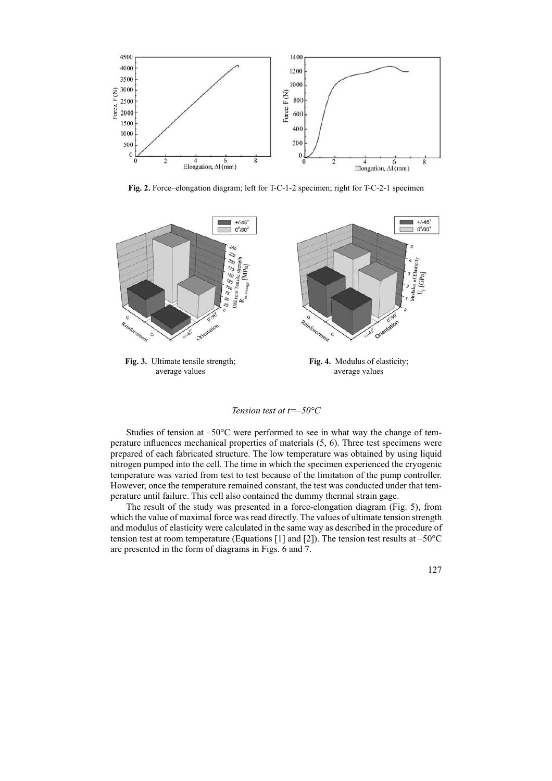

**Fig. 2.** Force–elongation diagram; left for T-C-1-2 specimen; right for T-C-2-1 specimen



### *Tension test at t=*−*50°C*

Studies of tension at  $-50^{\circ}$ C were performed to see in what way the change of temperature influences mechanical properties of materials (5, 6). Three test specimens were prepared of each fabricated structure. The low temperature was obtained by using liquid nitrogen pumped into the cell. The time in which the specimen experienced the cryogenic temperature was varied from test to test because of the limitation of the pump controller. However, once the temperature remained constant, the test was conducted under that temperature until failure. This cell also contained the dummy thermal strain gage.

The result of the study was presented in a force-elongation diagram (Fig. 5), from which the value of maximal force was read directly. The values of ultimate tension strength and modulus of elasticity were calculated in the same way as described in the procedure of tension test at room temperature (Equations [1] and [2]). The tension test results at  $-50^{\circ}$ C are presented in the form of diagrams in Figs. 6 and 7.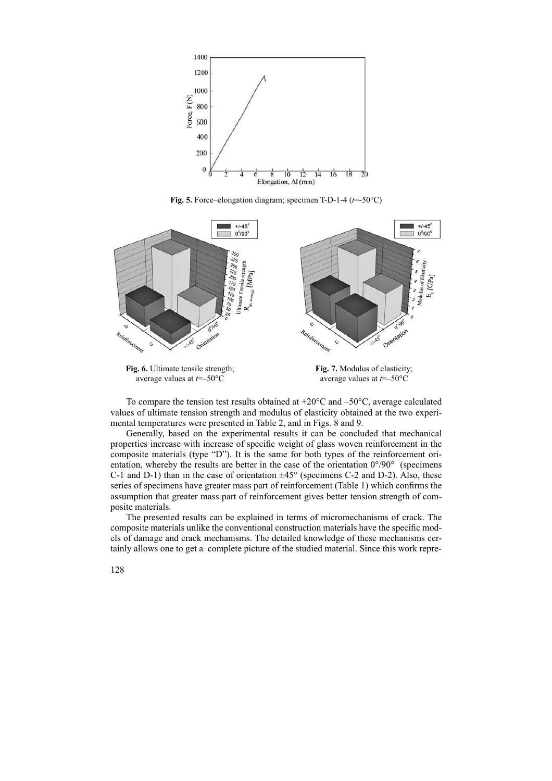

**Fig. 5.** Force–elongation diagram; specimen T-D-1-4 (*t*=-50°C)





average values at *t*=*–*50°C

To compare the tension test results obtained at  $+20^{\circ}$ C and  $-50^{\circ}$ C, average calculated values of ultimate tension strength and modulus of elasticity obtained at the two experimental temperatures were presented in Table 2, and in Figs. 8 and 9.

Generally, based on the experimental results it can be concluded that mechanical properties increase with increase of specific weight of glass woven reinforcement in the composite materials (type "D"). It is the same for both types of the reinforcement orientation, whereby the results are better in the case of the orientation  $0^{\circ}/90^{\circ}$  (specimens C-1 and D-1) than in the case of orientation  $\pm 45^{\circ}$  (specimens C-2 and D-2). Also, these series of specimens have greater mass part of reinforcement (Table 1) which confirms the assumption that greater mass part of reinforcement gives better tension strength of composite materials.

The presented results can be explained in terms of micromechanisms of crack. The composite materials unlike the conventional construction materials have the specific models of damage and crack mechanisms. The detailed knowledge of these mechanisms certainly allows one to get a complete picture of the studied material. Since this work repre-

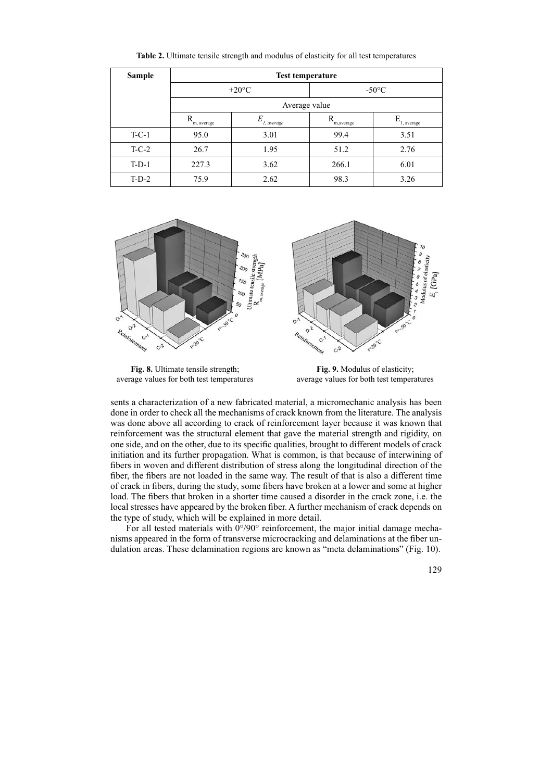| Sample  | <b>Test temperature</b> |                 |                 |                          |  |  |
|---------|-------------------------|-----------------|-----------------|--------------------------|--|--|
|         | $+20^{\circ}$ C         |                 | $-50^{\circ}$ C |                          |  |  |
|         | Average value           |                 |                 |                          |  |  |
|         | m, average              | E<br>1, average | m,average       | $E_{1, \text{ average}}$ |  |  |
| $T-C-1$ | 95.0                    | 3.01            | 99.4            | 3.51                     |  |  |
| $T-C-2$ | 26.7                    | 1.95            | 51.2            | 2.76                     |  |  |
| $T-D-1$ | 227.3                   | 3.62            | 266.1           | 6.01                     |  |  |
| $T-D-2$ | 75.9                    | 2.62            | 98.3            | 3.26                     |  |  |

**Table 2.** Ultimate tensile strength and modulus of elasticity for all test temperatures



**Fig. 8.** Ultimate tensile strength; average values for both test temperatures

**Fig. 9.** Modulus of elasticity; average values for both test temperatures

sents a characterization of a new fabricated material, a micromechanic analysis has been done in order to check all the mechanisms of crack known from the literature. The analysis was done above all according to crack of reinforcement layer because it was known that reinforcement was the structural element that gave the material strength and rigidity, on one side, and on the other, due to its specific qualities, brought to different models of crack initiation and its further propagation. What is common, is that because of interwining of fibers in woven and different distribution of stress along the longitudinal direction of the fiber, the fibers are not loaded in the same way. The result of that is also a different time of crack in fibers, during the study, some fibers have broken at a lower and some at higher load. The fibers that broken in a shorter time caused a disorder in the crack zone, i.e. the local stresses have appeared by the broken fiber. A further mechanism of crack depends on the type of study, which will be explained in more detail.

For all tested materials with  $0^{\circ}/90^{\circ}$  reinforcement, the major initial damage mechanisms appeared in the form of transverse microcracking and delaminations at the fiber undulation areas. These delamination regions are known as "meta delaminations" (Fig. 10).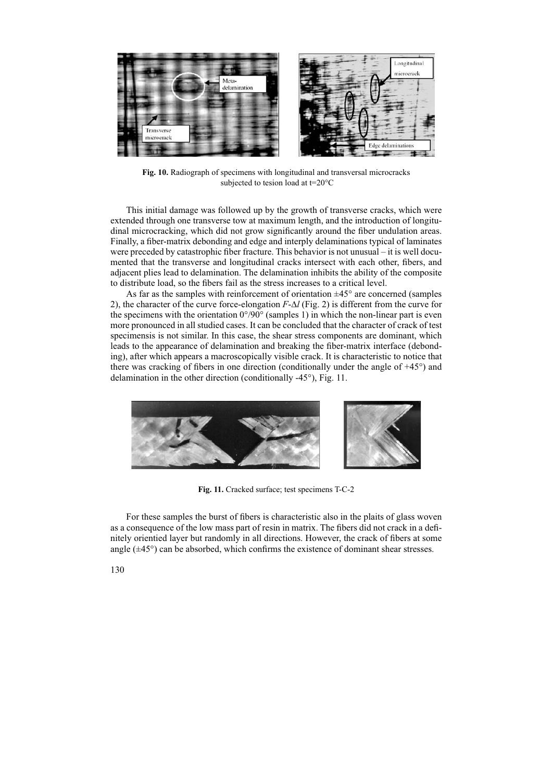

**Fig. 10.** Radiograph of specimens with longitudinal and transversal microcracks subjected to tesion load at t=20°C

This initial damage was followed up by the growth of transverse cracks, which were extended through one transverse tow at maximum length, and the introduction of longitudinal microcracking, which did not grow significantly around the fiber undulation areas. Finally, a fiber-matrix debonding and edge and interply delaminations typical of laminates were preceded by catastrophic fiber fracture. This behavior is not unusual – it is well documented that the transverse and longitudinal cracks intersect with each other, fibers, and adjacent plies lead to delamination. The delamination inhibits the ability of the composite to distribute load, so the fibers fail as the stress increases to a critical level.

As far as the samples with reinforcement of orientation  $\pm 45^{\circ}$  are concerned (samples 2), the character of the curve force-elongation *F*-∆*l* (Fig. 2) is different from the curve for the specimens with the orientation  $0^{\circ}/90^{\circ}$  (samples 1) in which the non-linear part is even more pronounced in all studied cases. It can be concluded that the character of crack of test specimensis is not similar. In this case, the shear stress components are dominant, which leads to the appearance of delamination and breaking the fiber-matrix interface (debonding), after which appears a macroscopically visible crack. It is characteristic to notice that there was cracking of fibers in one direction (conditionally under the angle of +45°) and delamination in the other direction (conditionally -45°), Fig. 11.



**Fig. 11.** Cracked surface; test specimens T-C-2

For these samples the burst of fibers is characteristic also in the plaits of glass woven as a consequence of the low mass part of resin in matrix. The fibers did not crack in a definitely orientied layer but randomly in all directions. However, the crack of fibers at some angle  $(\pm 45^{\circ})$  can be absorbed, which confirms the existence of dominant shear stresses.

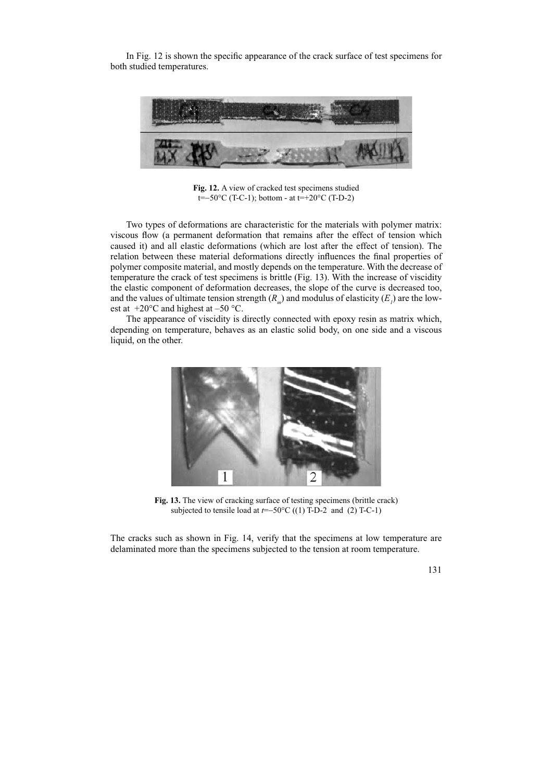In Fig. 12 is shown the specific appearance of the crack surface of test specimens for both studied temperatures.



**Fig. 12.** A view of cracked test specimens studied t=−50°C (T-C-1); bottom - at t=+20°C (T-D-2)

Two types of deformations are characteristic for the materials with polymer matrix: viscous flow (a permanent deformation that remains after the effect of tension which caused it) and all elastic deformations (which are lost after the effect of tension). The relation between these material deformations directly influences the final properties of polymer composite material, and mostly depends on the temperature. With the decrease of temperature the crack of test specimens is brittle (Fig. 13). With the increase of viscidity the elastic component of deformation decreases, the slope of the curve is decreased too, and the values of ultimate tension strength  $(R_m)$  and modulus of elasticity  $(E_l)$  are the lowest at  $+20^{\circ}$ C and highest at  $-50^{\circ}$ C.

The appearance of viscidity is directly connected with epoxy resin as matrix which, depending on temperature, behaves as an elastic solid body, on one side and a viscous liquid, on the other.



**Fig. 13.** The view of cracking surface of testing specimens (brittle crack) subjected to tensile load at *t*=−50°C ((1) T-D-2 and (2) T-C-1)

The cracks such as shown in Fig. 14, verify that the specimens at low temperature are delaminated more than the specimens subjected to the tension at room temperature.

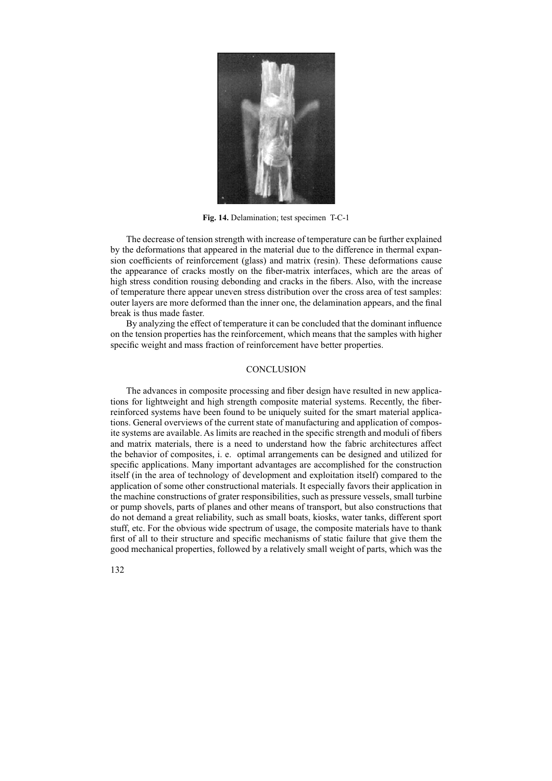

**Fig. 14.** Delamination; test specimen T-C-1

The decrease of tension strength with increase of temperature can be further explained by the deformations that appeared in the material due to the difference in thermal expansion coefficients of reinforcement (glass) and matrix (resin). These deformations cause the appearance of cracks mostly on the fiber-matrix interfaces, which are the areas of high stress condition rousing debonding and cracks in the fibers. Also, with the increase of temperature there appear uneven stress distribution over the cross area of test samples: outer layers are more deformed than the inner one, the delamination appears, and the final break is thus made faster.

By analyzing the effect of temperature it can be concluded that the dominant influence on the tension properties has the reinforcement, which means that the samples with higher specific weight and mass fraction of reinforcement have better properties.

## **CONCLUSION**

The advances in composite processing and fiber design have resulted in new applications for lightweight and high strength composite material systems. Recently, the fiberreinforced systems have been found to be uniquely suited for the smart material applications. General overviews of the current state of manufacturing and application of composite systems are available. As limits are reached in the specific strength and moduli of fibers and matrix materials, there is a need to understand how the fabric architectures affect the behavior of composites, i. e. optimal arrangements can be designed and utilized for specific applications. Many important advantages are accomplished for the construction itself (in the area of technology of development and exploitation itself) compared to the application of some other constructional materials. It especially favors their application in the machine constructions of grater responsibilities, such as pressure vessels, small turbine or pump shovels, parts of planes and other means of transport, but also constructions that do not demand a great reliability, such as small boats, kiosks, water tanks, different sport stuff, etc. For the obvious wide spectrum of usage, the composite materials have to thank first of all to their structure and specific mechanisms of static failure that give them the good mechanical properties, followed by a relatively small weight of parts, which was the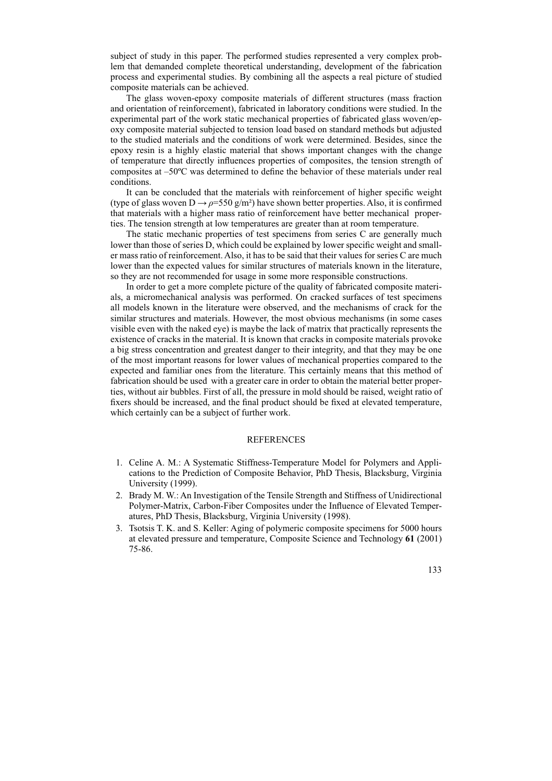subject of study in this paper. The performed studies represented a very complex problem that demanded complete theoretical understanding, development of the fabrication process and experimental studies. By combining all the aspects a real picture of studied composite materials can be achieved.

The glass woven-epoxy composite materials of different structures (mass fraction and orientation of reinforcement), fabricated in laboratory conditions were studied. In the experimental part of the work static mechanical properties of fabricated glass woven/epoxy composite material subjected to tension load based on standard methods but adjusted to the studied materials and the conditions of work were determined. Besides, since the epoxy resin is a highly elastic material that shows important changes with the change of temperature that directly influences properties of composites, the tension strength of composites at –50ºC was determined to define the behavior of these materials under real conditions.

It can be concluded that the materials with reinforcement of higher specific weight (type of glass woven  $D \rightarrow \rho = 550 \text{ g/m}^2$ ) have shown better properties. Also, it is confirmed that materials with a higher mass ratio of reinforcement have better mechanical properties. The tension strength at low temperatures are greater than at room temperature.

The static mechanic properties of test specimens from series C are generally much lower than those of series D, which could be explained by lower specific weight and smaller mass ratio of reinforcement. Also, it has to be said that their values for series C are much lower than the expected values for similar structures of materials known in the literature, so they are not recommended for usage in some more responsible constructions.

In order to get a more complete picture of the quality of fabricated composite materials, a micromechanical analysis was performed. On cracked surfaces of test specimens all models known in the literature were observed, and the mechanisms of crack for the similar structures and materials. However, the most obvious mechanisms (in some cases visible even with the naked eye) is maybe the lack of matrix that practically represents the existence of cracks in the material. It is known that cracks in composite materials provoke a big stress concentration and greatest danger to their integrity, and that they may be one of the most important reasons for lower values of mechanical properties compared to the expected and familiar ones from the literature. This certainly means that this method of fabrication should be used with a greater care in order to obtain the material better properties, without air bubbles. First of all, the pressure in mold should be raised, weight ratio of fixers should be increased, and the final product should be fixed at elevated temperature, which certainly can be a subject of further work.

### REFERENCES

- 1. Celine A. M.: A Systematic Stiffness-Temperature Model for Polymers and Applications to the Prediction of Composite Behavior, PhD Thesis, Blacksburg, Virginia University (1999).
- 2. Brady M. W.: An Investigation of the Tensile Strength and Stiffness of Unidirectional Polymer-Matrix, Carbon-Fiber Composites under the Influence of Elevated Temperatures, PhD Thesis, Blacksburg, Virginia University (1998).
- 3. Tsotsis T. K. and S. Keller: Aging of polymeric composite specimens for 5000 hours at elevated pressure and temperature, Composite Science and Technology **61** (2001) 75-86.